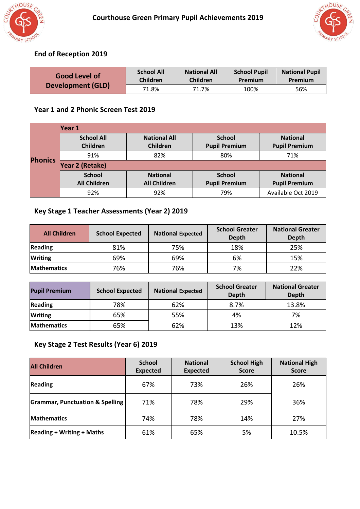



# **End of Reception 2019**

| <b>Good Level of</b><br><b>Development (GLD)</b> | <b>School All</b><br><b>Children</b> | <b>National All</b><br><b>Children</b> | <b>School Pupil</b><br>Premium | <b>National Pupil</b><br>Premium |
|--------------------------------------------------|--------------------------------------|----------------------------------------|--------------------------------|----------------------------------|
|                                                  | 71.8%                                | 71.7%                                  | 100%                           | 56%                              |

#### **Year 1 and 2 Phonic Screen Test 2019**

|                | Year 1                        |                                 |                                       |                                         |
|----------------|-------------------------------|---------------------------------|---------------------------------------|-----------------------------------------|
|                | <b>School All</b><br>Children | <b>National All</b><br>Children | <b>School</b><br><b>Pupil Premium</b> | <b>National</b><br><b>Pupil Premium</b> |
|                | 91%                           | 82%                             | 80%                                   | 71%                                     |
| <b>Phonics</b> | Year 2 (Retake)               |                                 |                                       |                                         |
|                | <b>School</b>                 | <b>National</b>                 | <b>School</b>                         | <b>National</b>                         |
|                | <b>All Children</b>           | <b>All Children</b>             | <b>Pupil Premium</b>                  | <b>Pupil Premium</b>                    |
|                | 92%                           | 92%                             | 79%                                   | Available Oct 2019                      |

# **Key Stage 1 Teacher Assessments (Year 2) 2019**

| <b>All Children</b> | <b>School Expected</b> | <b>National Expected</b> | <b>School Greater</b><br>Depth | <b>National Greater</b><br><b>Depth</b> |
|---------------------|------------------------|--------------------------|--------------------------------|-----------------------------------------|
| Reading             | 81%                    | 75%                      | 18%                            | 25%                                     |
| <b>Writing</b>      | 69%                    | 69%                      | 6%                             | 15%                                     |
| <b>Mathematics</b>  | 76%                    | 76%                      | 7%                             | 22%                                     |

| <b>Pupil Premium</b> | <b>School Expected</b> | <b>National Expected</b> | <b>School Greater</b><br><b>Depth</b> | <b>National Greater</b><br><b>Depth</b> |  |
|----------------------|------------------------|--------------------------|---------------------------------------|-----------------------------------------|--|
| <b>Reading</b>       | 78%                    | 62%                      | 8.7%                                  | 13.8%                                   |  |
| <b>Writing</b>       | 65%                    | 55%                      | 4%                                    | 7%                                      |  |
| <b>Mathematics</b>   | 65%                    | 62%                      | 13%                                   | 12%                                     |  |

# **Key Stage 2 Test Results (Year 6) 2019**

| <b>All Children</b>                        | <b>School</b><br><b>Expected</b> | <b>National</b><br><b>Expected</b> | <b>School High</b><br><b>Score</b> | <b>National High</b><br><b>Score</b> |
|--------------------------------------------|----------------------------------|------------------------------------|------------------------------------|--------------------------------------|
| <b>Reading</b>                             | 67%                              | 73%                                | 26%                                | 26%                                  |
| <b>Grammar, Punctuation &amp; Spelling</b> | 71%                              | 78%                                | 29%                                | 36%                                  |
| <b>Mathematics</b>                         | 74%                              | 78%                                | 14%                                | 27%                                  |
| <b>Reading + Writing + Maths</b>           | 61%                              | 65%                                | 5%                                 | 10.5%                                |